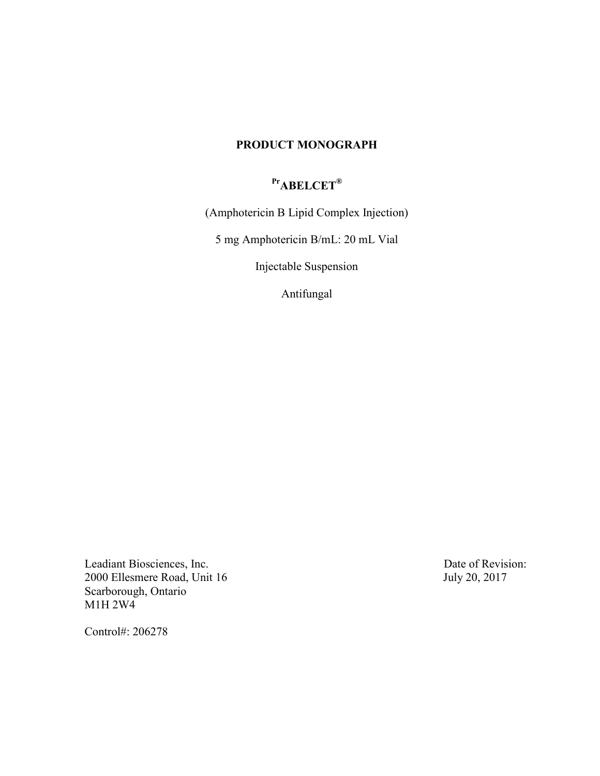## **PRODUCT MONOGRAPH**

# **PrABELCET®**

(Amphotericin B Lipid Complex Injection)

5 mg Amphotericin B/mL: 20 mL Vial

Injectable Suspension

Antifungal

Leadiant Biosciences, Inc.<br>
2000 Ellesmere Road, Unit 16<br>
3000 Ellesmere Road, Unit 16 2000 Ellesmere Road, Unit 16 Scarborough, Ontario M1H 2W4

Control#: 206278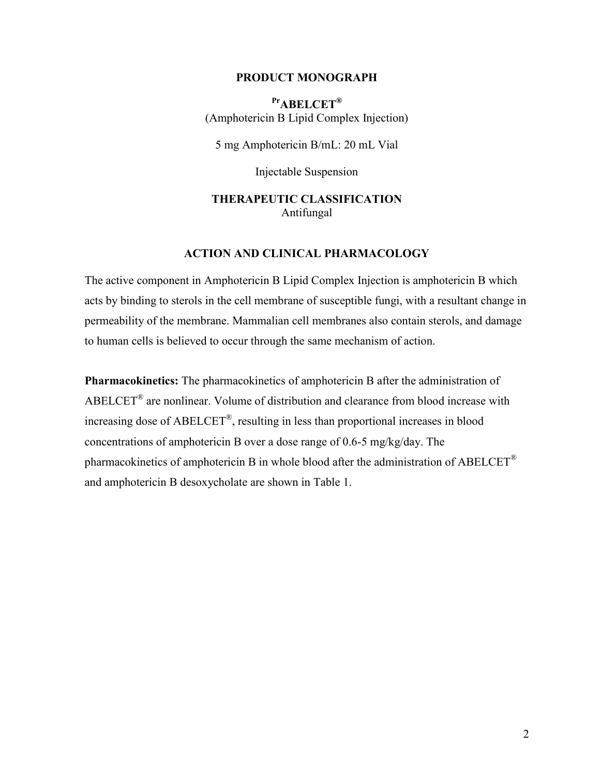#### **PRODUCT MONOGRAPH**

**PrABELCET®** (Amphotericin B Lipid Complex Injection)

5 mg Amphotericin B/mL: 20 mL Vial

Injectable Suspension

## **THERAPEUTIC CLASSIFICATION** Antifungal

## **ACTION AND CLINICAL PHARMACOLOGY**

The active component in Amphotericin B Lipid Complex Injection is amphotericin B which acts by binding to sterols in the cell membrane of susceptible fungi, with a resultant change in permeability of the membrane. Mammalian cell membranes also contain sterols, and damage to human cells is believed to occur through the same mechanism of action.

**Pharmacokinetics:** The pharmacokinetics of amphotericin B after the administration of ABELCET<sup>®</sup> are nonlinear. Volume of distribution and clearance from blood increase with increasing dose of ABELCET® , resulting in less than proportional increases in blood concentrations of amphotericin B over a dose range of 0.6-5 mg/kg/day. The pharmacokinetics of amphotericin B in whole blood after the administration of ABELCET<sup>®</sup> and amphotericin B desoxycholate are shown in Table 1.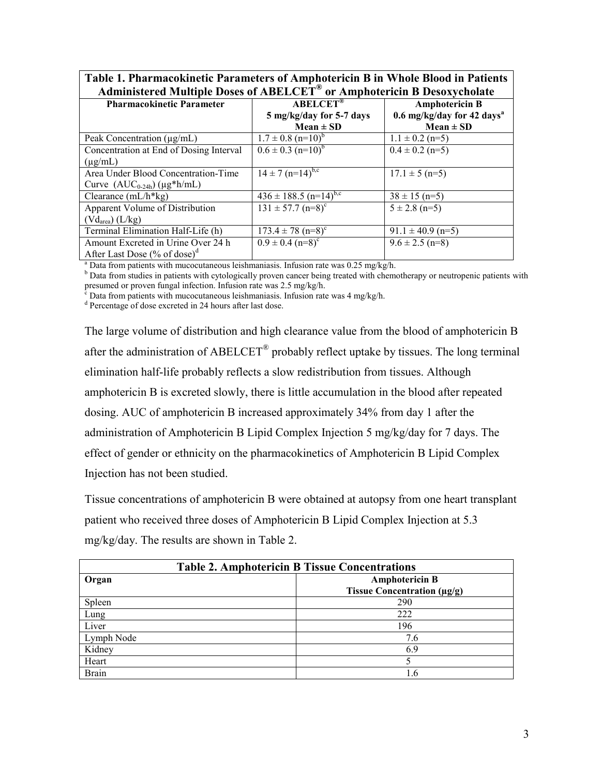| Table 1. Pharmacokinetic Parameters of Amphotericin B in Whole Blood in Patients    |  |
|-------------------------------------------------------------------------------------|--|
| Administered Multiple Doses of ABELCET <sup>®</sup> or Amphotericin B Desoxycholate |  |

| $\sigma$ . The photon tempton $\sigma$ belong the moment |                                           |                                          |  |  |
|----------------------------------------------------------|-------------------------------------------|------------------------------------------|--|--|
| <b>Pharmacokinetic Parameter</b>                         | <b>ABELCET®</b>                           | <b>Amphotericin B</b>                    |  |  |
|                                                          | 5 mg/kg/day for 5-7 days                  | $0.6$ mg/kg/day for 42 days <sup>a</sup> |  |  |
|                                                          | $Mean \pm SD$                             | $Mean \pm SD$                            |  |  |
| Peak Concentration $(\mu g/mL)$                          | $1.7 \pm 0.8$ (n=10) <sup>b</sup>         | $1.1 \pm 0.2$ (n=5)                      |  |  |
| Concentration at End of Dosing Interval                  | $\overline{0.6 \pm 0.3 \text{ (n=10)}^b}$ | $0.4 \pm 0.2$ (n=5)                      |  |  |
| $(\mu$ g/mL)                                             |                                           |                                          |  |  |
| Area Under Blood Concentration-Time                      | $14 \pm 7$ (n=14) <sup>b,c</sup>          | $17.1 \pm 5$ (n=5)                       |  |  |
| Curve $(AUC_{0-24h})$ (µg*h/mL)                          |                                           |                                          |  |  |
| Clearance $(mL/h * kg)$                                  | $436 \pm 188.5$ (n=14) <sup>b,c</sup>     | $38 \pm 15$ (n=5)                        |  |  |
| Apparent Volume of Distribution                          | $131 \pm 57.7$ (n=8) <sup>c</sup>         | $5 \pm 2.8$ (n=5)                        |  |  |
| (Vd <sub>area</sub> ) (L/kg)                             |                                           |                                          |  |  |
| Terminal Elimination Half-Life (h)                       | $173.4 \pm 78$ (n=8) <sup>c</sup>         | $91.1 \pm 40.9$ (n=5)                    |  |  |
| Amount Excreted in Urine Over 24 h                       | $0.9 \pm 0.4$ (n=8) <sup>c</sup>          | $9.6 \pm 2.5$ (n=8)                      |  |  |
| After Last Dose $(\%$ of dose) <sup>d</sup>              |                                           |                                          |  |  |

<sup>a</sup> Data from patients with mucocutaneous leishmaniasis. Infusion rate was  $0.25 \text{ mg/kg/h}$ .

b Data from studies in patients with cytologically proven cancer being treated with chemotherapy or neutropenic patients with presumed or proven fungal infection. Infusion rate was 2.5 mg/kg/h.

 $c^2$  Data from patients with mucocutaneous leishmaniasis. Infusion rate was 4 mg/kg/h.

<sup>d</sup> Percentage of dose excreted in 24 hours after last dose.

The large volume of distribution and high clearance value from the blood of amphotericin B after the administration of  $ABELCET^{\circledast}$  probably reflect uptake by tissues. The long terminal elimination half-life probably reflects a slow redistribution from tissues. Although amphotericin B is excreted slowly, there is little accumulation in the blood after repeated dosing. AUC of amphotericin B increased approximately 34% from day 1 after the administration of Amphotericin B Lipid Complex Injection 5 mg/kg/day for 7 days. The effect of gender or ethnicity on the pharmacokinetics of Amphotericin B Lipid Complex Injection has not been studied.

Tissue concentrations of amphotericin B were obtained at autopsy from one heart transplant patient who received three doses of Amphotericin B Lipid Complex Injection at 5.3 mg/kg/day. The results are shown in Table 2.

| <b>Table 2. Amphotericin B Tissue Concentrations</b> |                             |  |
|------------------------------------------------------|-----------------------------|--|
| Organ                                                | <b>Amphotericin B</b>       |  |
|                                                      | Tissue Concentration (µg/g) |  |
| Spleen                                               | 290                         |  |
| Lung                                                 | 222                         |  |
| Liver                                                | 196                         |  |
| Lymph Node                                           | 7.6                         |  |
| Kidney                                               | 6.9                         |  |
| Heart                                                |                             |  |
| <b>Brain</b>                                         | 1.6                         |  |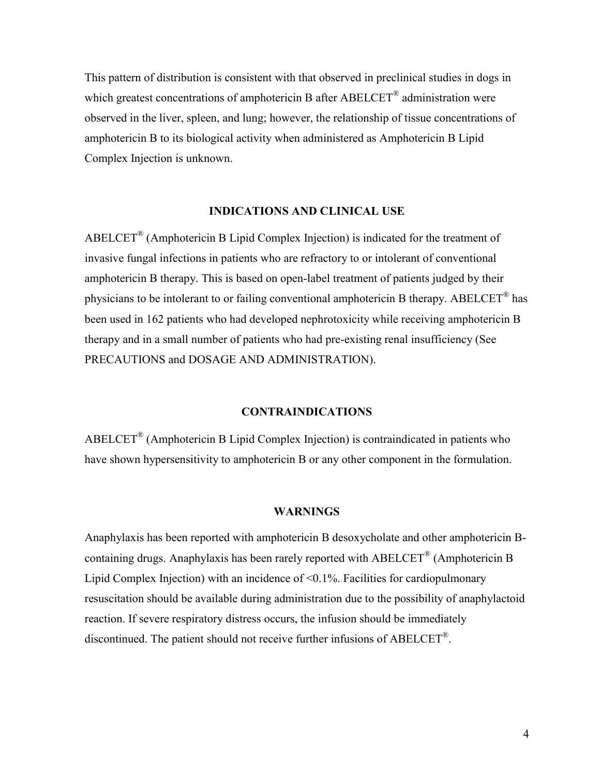This pattern of distribution is consistent with that observed in preclinical studies in dogs in which greatest concentrations of amphotericin B after  $ABELCET^{\circledast}$  administration were observed in the liver, spleen, and lung; however, the relationship of tissue concentrations of amphotericin B to its biological activity when administered as Amphotericin B Lipid Complex Injection is unknown.

## **INDICATIONS AND CLINICAL USE**

 $ABELCET<sup>®</sup>$  (Amphotericin B Lipid Complex Injection) is indicated for the treatment of invasive fungal infections in patients who are refractory to or intolerant of conventional amphotericin B therapy. This is based on open-label treatment of patients judged by their physicians to be intolerant to or failing conventional amphotericin B therapy. ABELCET<sup>®</sup> has been used in 162 patients who had developed nephrotoxicity while receiving amphotericin B therapy and in a small number of patients who had pre-existing renal insufficiency (See PRECAUTIONS and DOSAGE AND ADMINISTRATION).

### **CONTRAINDICATIONS**

ABELCET® (Amphotericin B Lipid Complex Injection) is contraindicated in patients who have shown hypersensitivity to amphotericin B or any other component in the formulation.

#### **WARNINGS**

Anaphylaxis has been reported with amphotericin B desoxycholate and other amphotericin Bcontaining drugs. Anaphylaxis has been rarely reported with  $ABELCET^{\circledast}$  (Amphotericin B Lipid Complex Injection) with an incidence of <0.1%. Facilities for cardiopulmonary resuscitation should be available during administration due to the possibility of anaphylactoid reaction. If severe respiratory distress occurs, the infusion should be immediately discontinued. The patient should not receive further infusions of ABELCET<sup>®</sup>.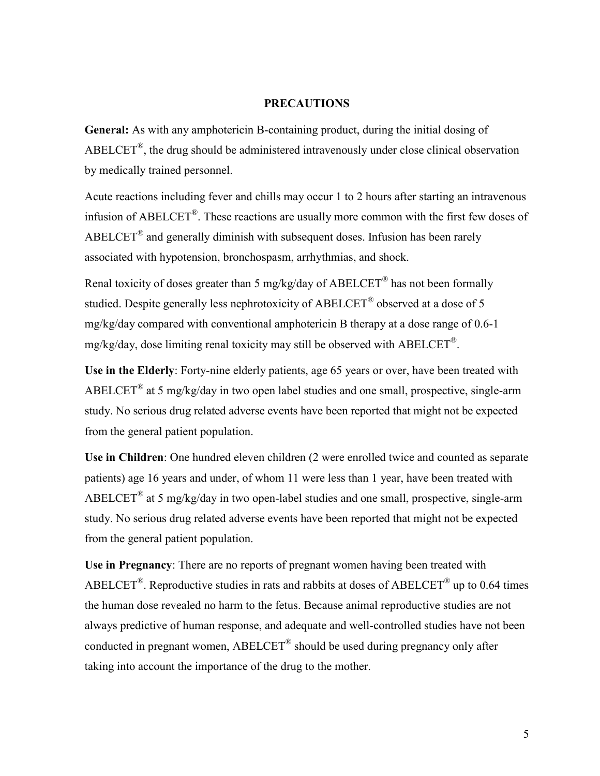## **PRECAUTIONS**

**General:** As with any amphotericin B-containing product, during the initial dosing of ABELCET<sup>®</sup>, the drug should be administered intravenously under close clinical observation by medically trained personnel.

Acute reactions including fever and chills may occur 1 to 2 hours after starting an intravenous infusion of ABELCET<sup>®</sup>. These reactions are usually more common with the first few doses of  $ABELCET<sup>®</sup>$  and generally diminish with subsequent doses. Infusion has been rarely associated with hypotension, bronchospasm, arrhythmias, and shock.

Renal toxicity of doses greater than 5 mg/kg/day of ABELCET<sup>®</sup> has not been formally studied. Despite generally less nephrotoxicity of ABELCET<sup>®</sup> observed at a dose of 5 mg/kg/day compared with conventional amphotericin B therapy at a dose range of 0.6-1 mg/kg/day, dose limiting renal toxicity may still be observed with ABELCET<sup>®</sup>.

**Use in the Elderly**: Forty-nine elderly patients, age 65 years or over, have been treated with ABELCET<sup>®</sup> at 5 mg/kg/day in two open label studies and one small, prospective, single-arm study. No serious drug related adverse events have been reported that might not be expected from the general patient population.

**Use in Children**: One hundred eleven children (2 were enrolled twice and counted as separate patients) age 16 years and under, of whom 11 were less than 1 year, have been treated with ABELCET<sup>®</sup> at 5 mg/kg/day in two open-label studies and one small, prospective, single-arm study. No serious drug related adverse events have been reported that might not be expected from the general patient population.

**Use in Pregnancy**: There are no reports of pregnant women having been treated with ABELCET<sup>®</sup>. Reproductive studies in rats and rabbits at doses of ABELCET<sup>®</sup> up to 0.64 times the human dose revealed no harm to the fetus. Because animal reproductive studies are not always predictive of human response, and adequate and well-controlled studies have not been conducted in pregnant women,  $ABEICET^{\circledR}$  should be used during pregnancy only after taking into account the importance of the drug to the mother.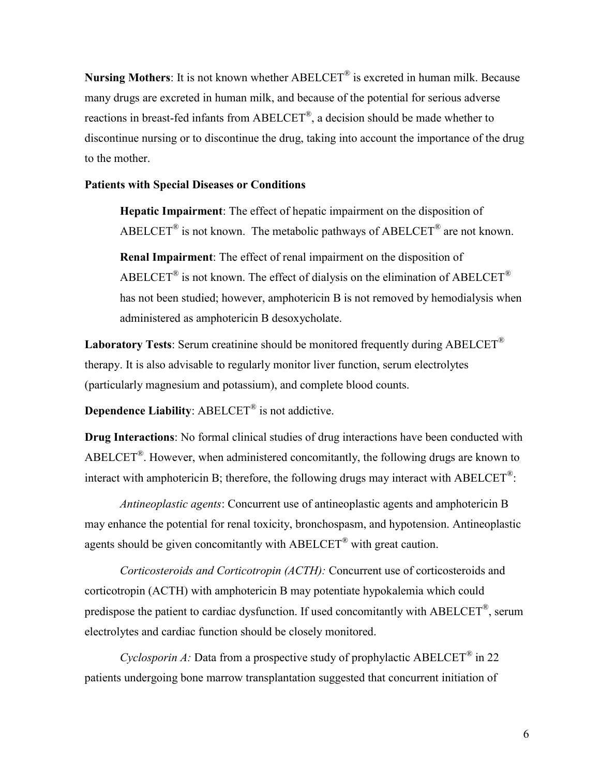**Nursing Mothers**: It is not known whether ABELCET® is excreted in human milk. Because many drugs are excreted in human milk, and because of the potential for serious adverse reactions in breast-fed infants from ABELCET<sup>®</sup>, a decision should be made whether to discontinue nursing or to discontinue the drug, taking into account the importance of the drug to the mother.

#### **Patients with Special Diseases or Conditions**

**Hepatic Impairment**: The effect of hepatic impairment on the disposition of ABELCET<sup>®</sup> is not known. The metabolic pathways of ABELCET<sup>®</sup> are not known. **Renal Impairment**: The effect of renal impairment on the disposition of ABELCET<sup>®</sup> is not known. The effect of dialysis on the elimination of ABELCET<sup>®</sup> has not been studied; however, amphotericin B is not removed by hemodialysis when administered as amphotericin B desoxycholate.

**Laboratory Tests**: Serum creatinine should be monitored frequently during ABELCET® therapy. It is also advisable to regularly monitor liver function, serum electrolytes (particularly magnesium and potassium), and complete blood counts.

**Dependence Liability**: ABELCET® is not addictive.

**Drug Interactions**: No formal clinical studies of drug interactions have been conducted with ABELCET<sup>®</sup>. However, when administered concomitantly, the following drugs are known to interact with amphotericin B; therefore, the following drugs may interact with ABELCET<sup>®</sup>:

*Antineoplastic agents*: Concurrent use of antineoplastic agents and amphotericin B may enhance the potential for renal toxicity, bronchospasm, and hypotension. Antineoplastic agents should be given concomitantly with ABELCET® with great caution.

*Corticosteroids and Corticotropin (ACTH):* Concurrent use of corticosteroids and corticotropin (ACTH) with amphotericin B may potentiate hypokalemia which could predispose the patient to cardiac dysfunction. If used concomitantly with ABELCET<sup>®</sup>, serum electrolytes and cardiac function should be closely monitored.

*Cyclosporin A:* Data from a prospective study of prophylactic ABELCET<sup>®</sup> in 22 patients undergoing bone marrow transplantation suggested that concurrent initiation of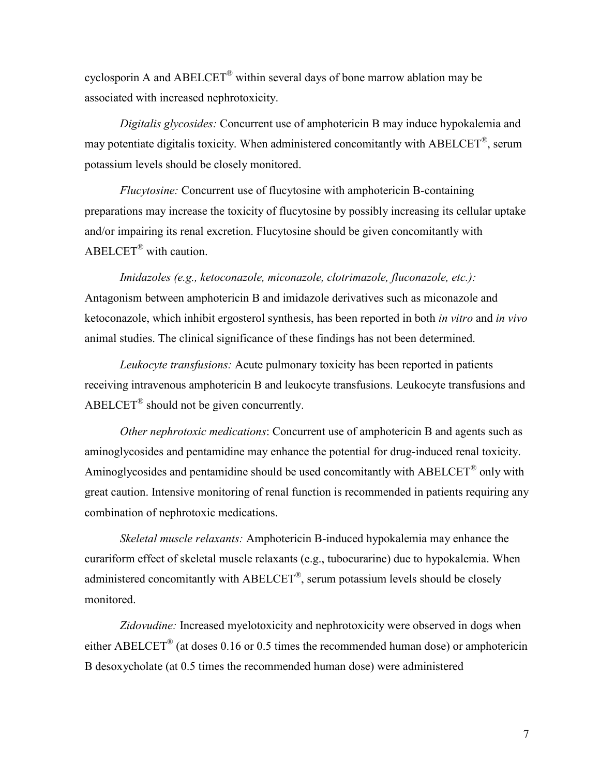cyclosporin A and ABELCET<sup>®</sup> within several days of bone marrow ablation may be associated with increased nephrotoxicity.

*Digitalis glycosides:* Concurrent use of amphotericin B may induce hypokalemia and may potentiate digitalis toxicity. When administered concomitantly with ABELCET<sup>®</sup>, serum potassium levels should be closely monitored.

*Flucytosine:* Concurrent use of flucytosine with amphotericin B-containing preparations may increase the toxicity of flucytosine by possibly increasing its cellular uptake and/or impairing its renal excretion. Flucytosine should be given concomitantly with ABELCET® with caution.

*Imidazoles (e.g., ketoconazole, miconazole, clotrimazole, fluconazole, etc.):* Antagonism between amphotericin B and imidazole derivatives such as miconazole and ketoconazole, which inhibit ergosterol synthesis, has been reported in both *in vitro* and *in vivo* animal studies. The clinical significance of these findings has not been determined.

*Leukocyte transfusions:* Acute pulmonary toxicity has been reported in patients receiving intravenous amphotericin B and leukocyte transfusions. Leukocyte transfusions and ABELCET<sup>®</sup> should not be given concurrently.

*Other nephrotoxic medications*: Concurrent use of amphotericin B and agents such as aminoglycosides and pentamidine may enhance the potential for drug-induced renal toxicity. Aminogly cosides and pentamidine should be used concomitantly with ABELCET<sup>®</sup> only with great caution. Intensive monitoring of renal function is recommended in patients requiring any combination of nephrotoxic medications.

*Skeletal muscle relaxants:* Amphotericin B-induced hypokalemia may enhance the curariform effect of skeletal muscle relaxants (e.g., tubocurarine) due to hypokalemia. When administered concomitantly with  $ABELCET^{\circledast}$ , serum potassium levels should be closely monitored.

*Zidovudine:* Increased myelotoxicity and nephrotoxicity were observed in dogs when either ABELCET<sup>®</sup> (at doses 0.16 or 0.5 times the recommended human dose) or amphotericin B desoxycholate (at 0.5 times the recommended human dose) were administered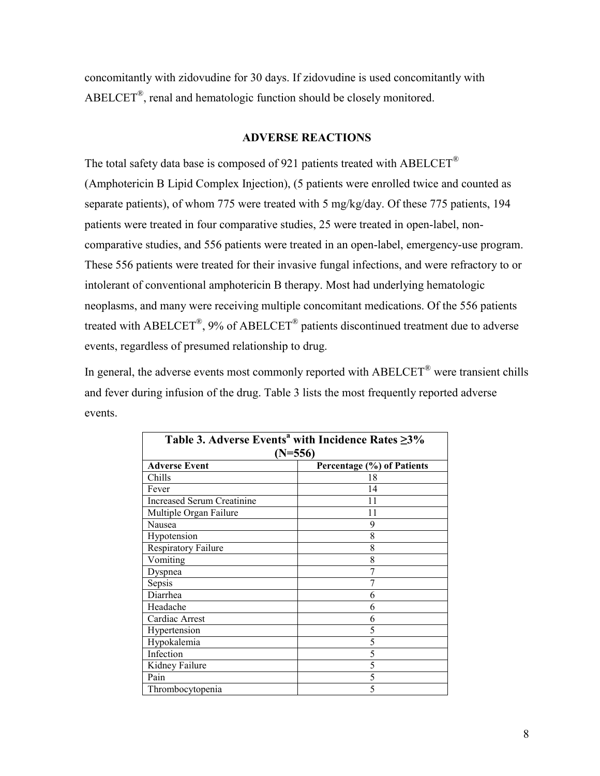concomitantly with zidovudine for 30 days. If zidovudine is used concomitantly with  $ABELCET<sup>®</sup>$ , renal and hematologic function should be closely monitored.

#### **ADVERSE REACTIONS**

The total safety data base is composed of 921 patients treated with ABELCET<sup>®</sup> (Amphotericin B Lipid Complex Injection), (5 patients were enrolled twice and counted as separate patients), of whom 775 were treated with 5 mg/kg/day. Of these 775 patients, 194 patients were treated in four comparative studies, 25 were treated in open-label, noncomparative studies, and 556 patients were treated in an open-label, emergency-use program. These 556 patients were treated for their invasive fungal infections, and were refractory to or intolerant of conventional amphotericin B therapy. Most had underlying hematologic neoplasms, and many were receiving multiple concomitant medications. Of the 556 patients treated with ABELCET<sup>®</sup>, 9% of ABELCET<sup>®</sup> patients discontinued treatment due to adverse events, regardless of presumed relationship to drug.

In general, the adverse events most commonly reported with ABELCET® were transient chills and fever during infusion of the drug. Table 3 lists the most frequently reported adverse events.

| Table 3. Adverse Events <sup>a</sup> with Incidence Rates ≥3% |                            |  |  |  |
|---------------------------------------------------------------|----------------------------|--|--|--|
| $(N=556)$                                                     |                            |  |  |  |
| <b>Adverse Event</b>                                          | Percentage (%) of Patients |  |  |  |
| Chills                                                        | 18                         |  |  |  |
| Fever                                                         | 14                         |  |  |  |
| <b>Increased Serum Creatinine</b>                             | 11                         |  |  |  |
| Multiple Organ Failure                                        | 11                         |  |  |  |
| Nausea                                                        | 9                          |  |  |  |
| Hypotension                                                   | 8                          |  |  |  |
| Respiratory Failure                                           | 8                          |  |  |  |
| Vomiting                                                      | 8                          |  |  |  |
| Dyspnea                                                       |                            |  |  |  |
| Sepsis                                                        | 7                          |  |  |  |
| Diarrhea                                                      | 6                          |  |  |  |
| Headache                                                      | 6                          |  |  |  |
| Cardiac Arrest                                                | 6                          |  |  |  |
| Hypertension                                                  | 5                          |  |  |  |
| Hypokalemia                                                   | 5                          |  |  |  |
| Infection                                                     | 5                          |  |  |  |
| Kidney Failure                                                | 5                          |  |  |  |
| Pain                                                          | 5                          |  |  |  |
| Thrombocytopenia                                              | 5                          |  |  |  |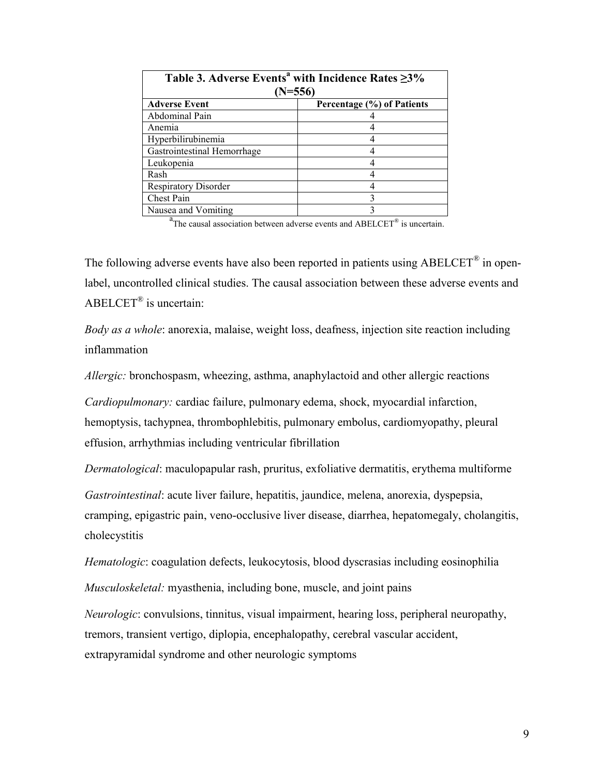| Table 3. Adverse Events <sup>a</sup> with Incidence Rates ≥3% |                            |  |  |  |
|---------------------------------------------------------------|----------------------------|--|--|--|
| $(N=556)$                                                     |                            |  |  |  |
| <b>Adverse Event</b>                                          | Percentage (%) of Patients |  |  |  |
| Abdominal Pain                                                |                            |  |  |  |
| Anemia                                                        |                            |  |  |  |
| Hyperbilirubinemia                                            |                            |  |  |  |
| Gastrointestinal Hemorrhage                                   |                            |  |  |  |
| Leukopenia                                                    |                            |  |  |  |
| Rash                                                          |                            |  |  |  |
| <b>Respiratory Disorder</b>                                   |                            |  |  |  |
| Chest Pain                                                    | 3                          |  |  |  |
| Nausea and Vomiting                                           |                            |  |  |  |

 $a<sup>a</sup>$ The causal association between adverse events and ABELCET<sup>®</sup> is uncertain.

The following adverse events have also been reported in patients using  $ABELCET^{\circledast}$  in openlabel, uncontrolled clinical studies. The causal association between these adverse events and ABELCET® is uncertain:

*Body as a whole*: anorexia, malaise, weight loss, deafness, injection site reaction including inflammation

*Allergic:* bronchospasm, wheezing, asthma, anaphylactoid and other allergic reactions

*Cardiopulmonary:* cardiac failure, pulmonary edema, shock, myocardial infarction, hemoptysis, tachypnea, thrombophlebitis, pulmonary embolus, cardiomyopathy, pleural effusion, arrhythmias including ventricular fibrillation

*Dermatological*: maculopapular rash, pruritus, exfoliative dermatitis, erythema multiforme

*Gastrointestinal*: acute liver failure, hepatitis, jaundice, melena, anorexia, dyspepsia, cramping, epigastric pain, veno-occlusive liver disease, diarrhea, hepatomegaly, cholangitis, cholecystitis

*Hematologic*: coagulation defects, leukocytosis, blood dyscrasias including eosinophilia

*Musculoskeletal:* myasthenia, including bone, muscle, and joint pains

*Neurologic*: convulsions, tinnitus, visual impairment, hearing loss, peripheral neuropathy, tremors, transient vertigo, diplopia, encephalopathy, cerebral vascular accident, extrapyramidal syndrome and other neurologic symptoms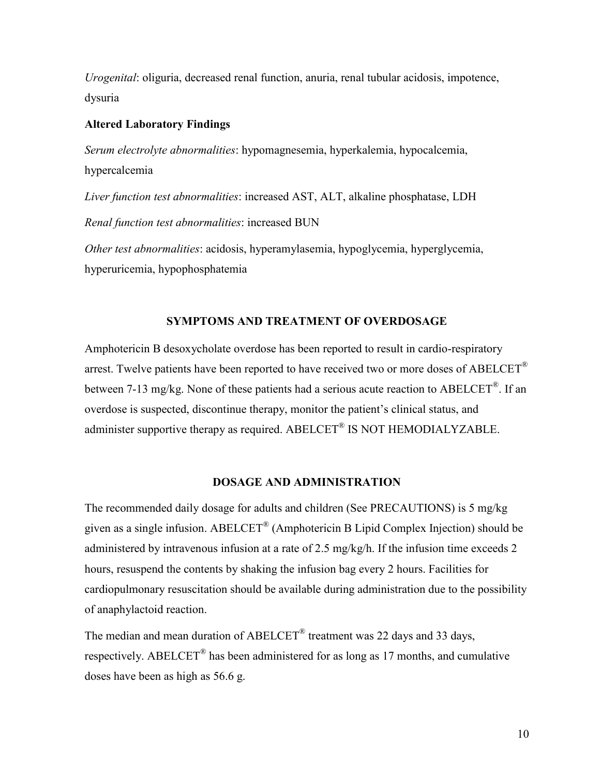*Urogenital*: oliguria, decreased renal function, anuria, renal tubular acidosis, impotence, dysuria

#### **Altered Laboratory Findings**

*Serum electrolyte abnormalities*: hypomagnesemia, hyperkalemia, hypocalcemia, hypercalcemia

*Liver function test abnormalities*: increased AST, ALT, alkaline phosphatase, LDH *Renal function test abnormalities*: increased BUN

*Other test abnormalities*: acidosis, hyperamylasemia, hypoglycemia, hyperglycemia, hyperuricemia, hypophosphatemia

#### **SYMPTOMS AND TREATMENT OF OVERDOSAGE**

Amphotericin B desoxycholate overdose has been reported to result in cardio-respiratory arrest. Twelve patients have been reported to have received two or more doses of  $ABEICET^{\circledR}$ between 7-13 mg/kg. None of these patients had a serious acute reaction to ABELCET<sup>®</sup>. If an overdose is suspected, discontinue therapy, monitor the patient's clinical status, and administer supportive therapy as required. ABELCET<sup>®</sup> IS NOT HEMODIALYZABLE.

#### **DOSAGE AND ADMINISTRATION**

The recommended daily dosage for adults and children (See PRECAUTIONS) is 5 mg/kg given as a single infusion. ABELCET<sup>®</sup> (Amphotericin B Lipid Complex Injection) should be administered by intravenous infusion at a rate of 2.5 mg/kg/h. If the infusion time exceeds 2 hours, resuspend the contents by shaking the infusion bag every 2 hours. Facilities for cardiopulmonary resuscitation should be available during administration due to the possibility of anaphylactoid reaction.

The median and mean duration of ABELCET<sup>®</sup> treatment was 22 days and 33 days, respectively. ABELCET<sup>®</sup> has been administered for as long as 17 months, and cumulative doses have been as high as 56.6 g.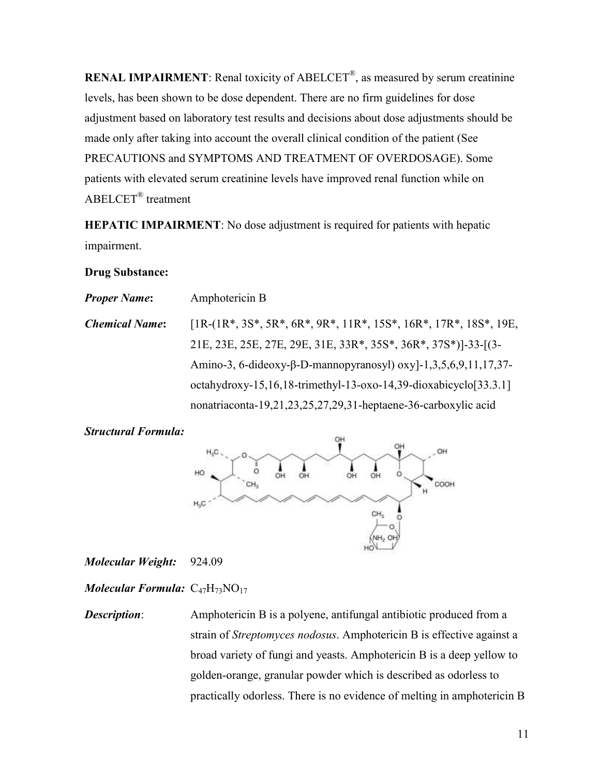**RENAL IMPAIRMENT**: Renal toxicity of ABELCET<sup>®</sup>, as measured by serum creatinine levels, has been shown to be dose dependent. There are no firm guidelines for dose adjustment based on laboratory test results and decisions about dose adjustments should be made only after taking into account the overall clinical condition of the patient (See PRECAUTIONS and SYMPTOMS AND TREATMENT OF OVERDOSAGE). Some patients with elevated serum creatinine levels have improved renal function while on ABELCET® treatment

**HEPATIC IMPAIRMENT**: No dose adjustment is required for patients with hepatic impairment.

## **Drug Substance:**

| <b>Proper Name:</b>   | Amphotericin B                                                      |
|-----------------------|---------------------------------------------------------------------|
| <b>Chemical Name:</b> | $[1R-(1R*, 3S*, 5R*, 6R*, 9R*, 11R*, 15S*, 16R*, 17R*, 18S*, 19E,$  |
|                       | 21E, 23E, 25E, 27E, 29E, 31E, 33R*, 35S*, 36R*, 37S*)]-33-[(3-      |
|                       | Amino-3, 6-dideoxy-β-D-mannopyranosyl) oxyl-1,3,5,6,9,11,17,37-     |
|                       | octahydroxy-15,16,18-trimethyl-13-oxo-14,39-dioxabicyclo $[33.3.1]$ |
|                       | nonatriaconta-19,21,23,25,27,29,31-heptaene-36-carboxylic acid      |

## *Structural Formula:*



*Molecular Weight:* 924.09

*Molecular Formula:* C<sub>47</sub>H<sub>73</sub>NO<sub>17</sub>

*Description*: Amphotericin B is a polyene, antifungal antibiotic produced from a strain of *Streptomyces nodosus*. Amphotericin B is effective against a broad variety of fungi and yeasts. Amphotericin B is a deep yellow to golden-orange, granular powder which is described as odorless to practically odorless. There is no evidence of melting in amphotericin B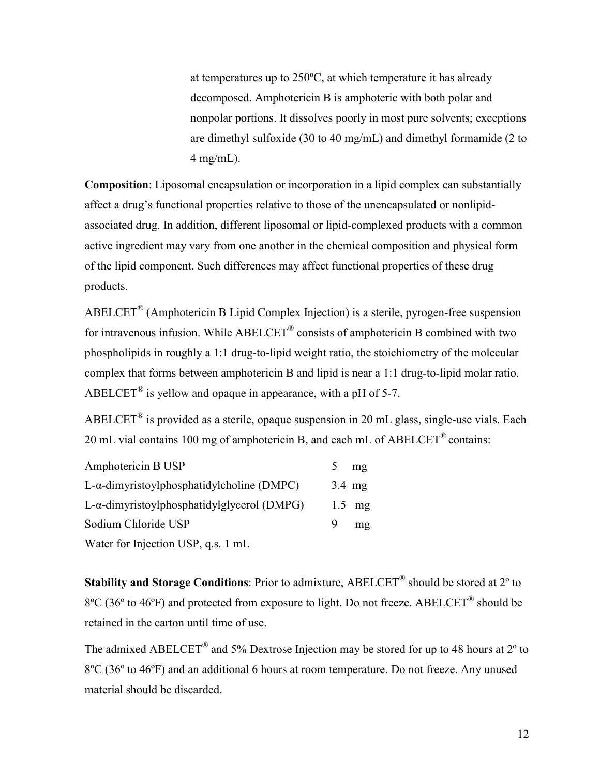at temperatures up to 250ºC, at which temperature it has already decomposed. Amphotericin B is amphoteric with both polar and nonpolar portions. It dissolves poorly in most pure solvents; exceptions are dimethyl sulfoxide (30 to 40 mg/mL) and dimethyl formamide (2 to  $4$  mg/mL).

**Composition**: Liposomal encapsulation or incorporation in a lipid complex can substantially affect a drug's functional properties relative to those of the unencapsulated or nonlipidassociated drug. In addition, different liposomal or lipid-complexed products with a common active ingredient may vary from one another in the chemical composition and physical form of the lipid component. Such differences may affect functional properties of these drug products.

 $ABELCET<sup>®</sup>$  (Amphotericin B Lipid Complex Injection) is a sterile, pyrogen-free suspension for intravenous infusion. While  $ABEICET^{\circledR}$  consists of amphotericin B combined with two phospholipids in roughly a 1:1 drug-to-lipid weight ratio, the stoichiometry of the molecular complex that forms between amphotericin B and lipid is near a 1:1 drug-to-lipid molar ratio. ABELCET<sup>®</sup> is yellow and opaque in appearance, with a pH of 5-7.

ABELCET<sup>®</sup> is provided as a sterile, opaque suspension in 20 mL glass, single-use vials. Each 20 mL vial contains 100 mg of amphotericin B, and each mL of ABELCET® contains:

| Amphotericin B USP                                     |   | mg       |
|--------------------------------------------------------|---|----------|
| L-α-dimyristoylphosphatidylcholine (DMPC)              |   | $3.4$ mg |
| L-α-dimyristoylphosphatidylglycerol (DMPG)             |   | $1.5$ mg |
| Sodium Chloride USP                                    | 9 | mg       |
| $W_{\alpha}$ for Luisatian HCD $\alpha$ and $\alpha$ - |   |          |

Water for Injection USP, q.s. 1 mL

Stability and Storage Conditions: Prior to admixture, ABELCET<sup>®</sup> should be stored at 2<sup>o</sup> to  $8^{\circ}$ C (36° to 46°F) and protected from exposure to light. Do not freeze. ABELCET<sup>®</sup> should be retained in the carton until time of use.

The admixed ABELCET<sup>®</sup> and 5% Dextrose Injection may be stored for up to 48 hours at 2<sup>o</sup> to 8ºC (36º to 46ºF) and an additional 6 hours at room temperature. Do not freeze. Any unused material should be discarded.